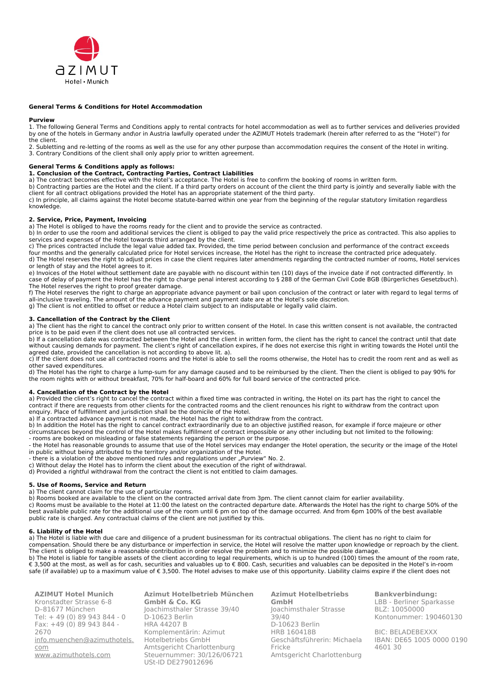

### **General Terms & Conditions for Hotel Accommodation**

#### **Purview**

1. The following General Terms and Conditions apply to rental contracts for hotel accommodation as well as to further services and deliveries provided by one of the hotels in Germany and\or in Austria lawfully operated under the AZIMUT Hotels trademark (herein after referred to as the "Hotel") for the client.

2. Subletting and re-letting of the rooms as well as the use for any other purpose than accommodation requires the consent of the Hotel in writing. 3. Contrary Conditions of the client shall only apply prior to written agreement.

## **General Terms & Conditions apply as follows:**

## **1. Conclusion of the Contract, Contracting Parties, Contract Liabilities**

a) The contract becomes effective with the Hotel's acceptance. The Hotel is free to confirm the booking of rooms in written form.

b) Contracting parties are the Hotel and the client. If a third party orders on account of the client the third party is jointly and severally liable with the client for all contract obligations provided the Hotel has an appropriate statement of the third party.

c) In principle, all claims against the Hotel become statute-barred within one year from the beginning of the regular statutory limitation regardless knowledge.

## **2. Service, Price, Payment, Invoicing**

a) The Hotel is obliged to have the rooms ready for the client and to provide the service as contracted.

b) In order to use the room and additional services the client is obliged to pay the valid price respectively the price as contracted. This also applies to services and expenses of the Hotel towards third arranged by the client.

c) The prices contracted include the legal value added tax. Provided, the time period between conclusion and performance of the contract exceeds

four months and the generally calculated price for Hotel services increase, the Hotel has the right to increase the contracted price adequately. d) The Hotel reserves the right to adjust prices in case the client requires later amendments regarding the contracted number of rooms, Hotel services or length of stay and the Hotel agrees to it.

e) Invoices of the Hotel without settlement date are payable with no discount within ten (10) days of the invoice date if not contracted differently. In case of delay of payment the Hotel has the right to charge penal interest according to § 288 of the German Civil Code BGB (Bürgerliches Gesetzbuch). The Hotel reserves the right to proof greater damage.

f) The Hotel reserves the right to charge an appropriate advance payment or bail upon conclusion of the contract or later with regard to legal terms of all-inclusive traveling. The amount of the advance payment and payment date are at the Hotel's sole discretion. g) The client is not entitled to offset or reduce a Hotel claim subject to an indisputable or legally valid claim.

## **3. Cancellation of the Contract by the Client**

a) The client has the right to cancel the contract only prior to written consent of the Hotel. In case this written consent is not available, the contracted price is to be paid even if the client does not use all contracted services.

b) If a cancellation date was contracted between the Hotel and the client in written form, the client has the right to cancel the contract until that date without causing demands for payment. The client's right of cancellation expires, if he does not exercise this right in writing towards the Hotel until the agreed date, provided the cancellation is not according to above lit. a).

c) If the client does not use all contracted rooms and the Hotel is able to sell the rooms otherwise, the Hotel has to credit the room rent and as well as other saved expenditures.

d) The Hotel has the right to charge a lump-sum for any damage caused and to be reimbursed by the client. Then the client is obliged to pay 90% for the room nights with or without breakfast, 70% for half-board and 60% for full board service of the contracted price.

#### **4. Cancellation of the Contract by the Hotel**

a) Provided the client's right to cancel the contract within a fixed time was contracted in writing, the Hotel on its part has the right to cancel the contract if there are requests from other clients for the contracted rooms and the client renounces his right to withdraw from the contract upon enquiry. Place of fulfillment and jurisdiction shall be the domicile of the Hotel.

a) If a contracted advance payment is not made, the Hotel has the right to withdraw from the contract.

b) In addition the Hotel has the right to cancel contract extraordinarily due to an objective justified reason, for example if force majeure or other circumstances beyond the control of the Hotel makes fulfillment of contract impossible or any other including but not limited to the following: - rooms are booked on misleading or false statements regarding the person or the purpose.

- the Hotel has reasonable grounds to assume that use of the Hotel services may endanger the Hotel operation, the security or the image of the Hotel in public without being attributed to the territory and/or organization of the Hotel.

- there is a violation of the above mentioned rules and regulations under "Purview" No. 2.

c) Without delay the Hotel has to inform the client about the execution of the right of withdrawal.

d) Provided a rightful withdrawal from the contract the client is not entitled to claim damages.

#### **5. Use of Rooms, Service and Return**

a) The client cannot claim for the use of particular rooms.

b) Rooms booked are available to the client on the contracted arrival date from 3pm. The client cannot claim for earlier availability. c) Rooms must be available to the Hotel at 11:00 the latest on the contracted departure date. Afterwards the Hotel has the right to charge 50% of the best available public rate for the additional use of the room until 6 pm on top of the damage occurred. And from 6pm 100% of the best available public rate is charged. Any contractual claims of the client are not justified by this.

## **6. Liability of the Hotel**

a) The Hotel is liable with due care and diligence of a prudent businessman for its contractual obligations. The client has no right to claim for compensation. Should there be any disturbance or imperfection in service, the Hotel will resolve the matter upon knowledge or reproach by the client. The client is obliged to make a reasonable contribution in order resolve the problem and to minimize the possible damage.

b) The Hotel is liable for tangible assets of the client according to legal requirements, which is up to hundred (100) times the amount of the room rate, € 3,500 at the most, as well as for cash, securities and valuables up to € 800. Cash, securities and valuables can be deposited in the Hotel's in-room safe (if available) up to a maximum value of € 3,500. The Hotel advises to make use of this opportunity. Liability claims expire if the client does not

**AZIMUT Hotel Munich**  Kronstadter Strasse 6-8 D–81677 München Tel: + 49 (0) 89 943 844 - 0 Fax: +49 (0) 89 943 844 - 2670 [info.muenchen@azimuthotels.](mailto:info.muenchen@azimuthotels.com) [com](mailto:info.muenchen@azimuthotels.com) [www.azimuthotels.com](http://www.azimuthotels.com/)

**Azimut Hotelbetrieb München GmbH & Co. KG** Joachimsthaler Strasse 39/40 D-10623 Berlin HRA 44207 B Komplementärin: Azimut Hotelbetriebs GmbH Amtsgericht Charlottenburg Steuernummer: 30/126/06721 USt-ID DE279012696

**Azimut Hotelbetriebs GmbH** Joachimsthaler Strasse 39/40 D-10623 Berlin HRB 160418B Geschäftsführerin: Michaela Fricke Amtsgericht Charlottenburg

**Bankverbindung:** LBB - Berliner Sparkasse BLZ: 10050000 Kontonummer: 190460130

BIC: BELADEBEXXX IBAN: DE65 1005 0000 0190 4601 30